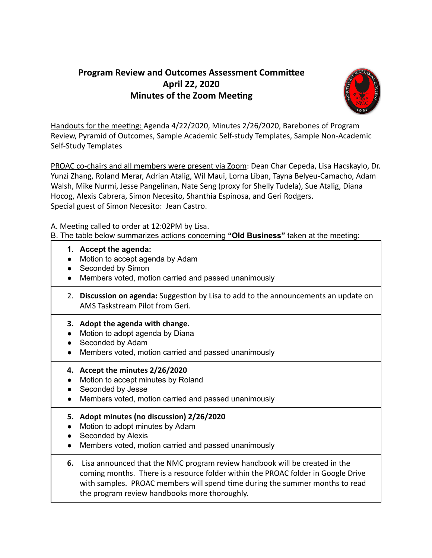## **Program Review and Outcomes Assessment Committee April 22, 2020 Minutes of the Zoom Meeting**



Handouts for the meeting: Agenda 4/22/2020, Minutes 2/26/2020, Barebones of Program Review, Pyramid of Outcomes, Sample Academic Self-study Templates, Sample Non-Academic Self-Study Templates

PROAC co-chairs and all members were present via Zoom: Dean Char Cepeda, Lisa Hacskaylo, Dr. Yunzi Zhang, Roland Merar, Adrian Atalig, Wil Maui, Lorna Liban, Tayna Belyeu-Camacho, Adam Walsh, Mike Nurmi, Jesse Pangelinan, Nate Seng (proxy for Shelly Tudela), Sue Atalig, Diana Hocog, Alexis Cabrera, Simon Necesito, Shanthia Espinosa, and Geri Rodgers. Special guest of Simon Necesito: Jean Castro.

A. Meeting called to order at 12:02PM by Lisa.

B. The table below summarizes actions concerning **"Old Business"** taken at the meeting:

- **1. Accept the agenda:**
- Motion to accept agenda by Adam
- Seconded by Simon
- Members voted, motion carried and passed unanimously
- 2. **Discussion on agenda:** Suggestion by Lisa to add to the announcements an update on AMS Taskstream Pilot from Geri.

## **3. Adopt the agenda with change.**

- Motion to adopt agenda by Diana
- Seconded by Adam
- Members voted, motion carried and passed unanimously
- **4. Accept the minutes 2/26/2020**
- Motion to accept minutes by Roland
- Seconded by Jesse
- Members voted, motion carried and passed unanimously
- **5. Adopt minutes (no discussion) 2/26/2020**
- Motion to adopt minutes by Adam
- Seconded by Alexis
- Members voted, motion carried and passed unanimously
- **6.** Lisa announced that the NMC program review handbook will be created in the coming months. There is a resource folder within the PROAC folder in Google Drive with samples. PROAC members will spend time during the summer months to read the program review handbooks more thoroughly.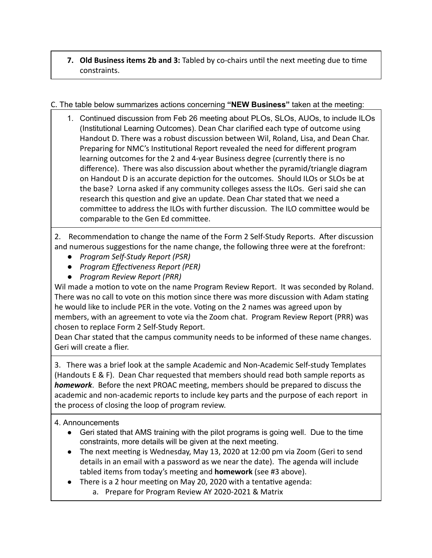**7. Old Business items 2b and 3:** Tabled by co-chairs until the next meeting due to time constraints.

## C. The table below summarizes actions concerning **"NEW Business"** taken at the meeting:

1. Continued discussion from Feb 26 meeting about PLOs, SLOs, AUOs, to include ILOs (Institutional Learning Outcomes). Dean Char clarified each type of outcome using Handout D. There was a robust discussion between Wil, Roland, Lisa, and Dean Char. Preparing for NMC's Institutional Report revealed the need for different program learning outcomes for the 2 and 4-year Business degree (currently there is no difference). There was also discussion about whether the pyramid/triangle diagram on Handout D is an accurate depiction for the outcomes. Should ILOs or SLOs be at the base? Lorna asked if any community colleges assess the ILOs. Geri said she can research this question and give an update. Dean Char stated that we need a committee to address the ILOs with further discussion. The ILO committee would be comparable to the Gen Ed committee.

2. Recommendation to change the name of the Form 2 Self-Study Reports. After discussion and numerous suggestions for the name change, the following three were at the forefront:

- *● Program Self-Study Report (PSR)*
- **•** *Program Effectiveness Report (PER)*
- *● Program Review Report (PRR)*

Wil made a motion to vote on the name Program Review Report. It was seconded by Roland. There was no call to vote on this motion since there was more discussion with Adam stating he would like to include PER in the vote. Voting on the 2 names was agreed upon by members, with an agreement to vote via the Zoom chat. Program Review Report (PRR) was chosen to replace Form 2 Self-Study Report.

Dean Char stated that the campus community needs to be informed of these name changes. Geri will create a flier.

3. There was a brief look at the sample Academic and Non-Academic Self-study Templates (Handouts E & F). Dean Char requested that members should read both sample reports as **homework**. Before the next PROAC meeting, members should be prepared to discuss the academic and non-academic reports to include key parts and the purpose of each report in the process of closing the loop of program review.

## 4. Announcements

- Geri stated that AMS training with the pilot programs is going well. Due to the time constraints, more details will be given at the next meeting.
- The next meeting is Wednesday, May 13, 2020 at 12:00 pm via Zoom (Geri to send details in an email with a password as we near the date). The agenda will include tabled items from today's meeting and **homework** (see #3 above).
- $\bullet$  There is a 2 hour meeting on May 20, 2020 with a tentative agenda:
	- a. Prepare for Program Review AY 2020-2021 & Matrix